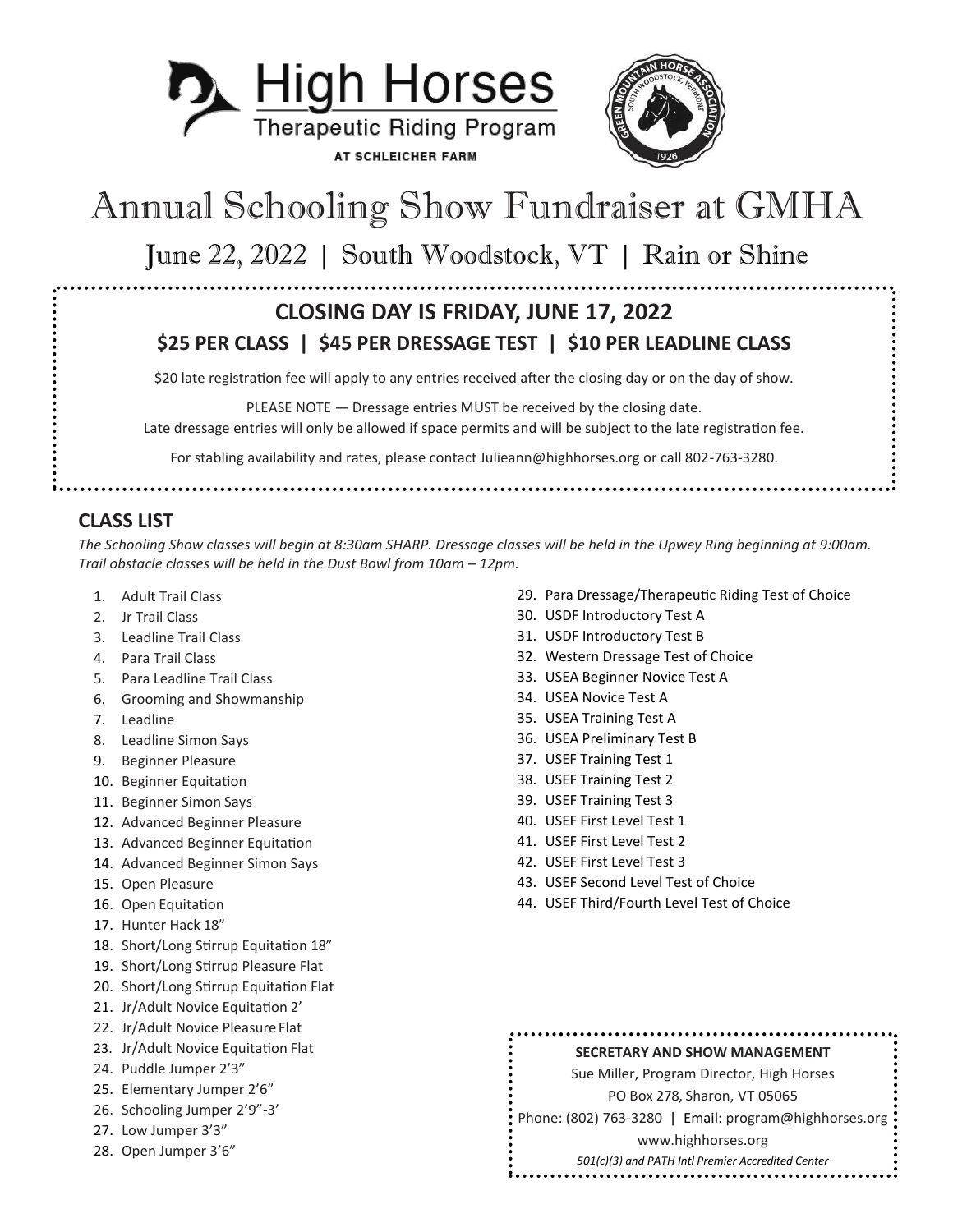



# Annual Schooling Show Fundraiser at GMHA

June 22, 2022 | South Woodstock, VT | Rain or Shine

### **CLOSING DAY IS FRIDAY, JUNE 17, 2022 \$25 PER CLASS | \$45 PER DRESSAGE TEST | \$10 PER LEADLINE CLASS**

\$20 late registration fee will apply to any entries received after the closing day or on the day of show.

PLEASE NOTE — Dressage entries MUST be received by the closing date. Late dressage entries will only be allowed if space permits and will be subject to the late registration fee.

For stabling availability and rates, please contact Julieann@highhorses.org or call 802-763-3280.

**CLASS LIST** 

*The Schooling Show classes will begin at 8:30am SHARP. Dressage classes will be held in the Upwey Ring beginning at 9:00am. Trail obstacle classes will be held in the Dust Bowl from 10am – 12pm.*

- 1. Adult Trail Class
- 2. Jr Trail Class
- 3. Leadline Trail Class
- 4. Para Trail Class
- 5. Para Leadline Trail Class
- 6. Grooming and Showmanship
- 7. Leadline
- 8. Leadline Simon Says
- 9. Beginner Pleasure
- 10. Beginner Equitation
- 11. Beginner Simon Says
- 12. Advanced Beginner Pleasure
- 13. Advanced Beginner Equitation
- 14. Advanced Beginner Simon Says
- 15. Open Pleasure
- 16. Open Equitation
- 17. Hunter Hack 18"
- 18. Short/Long Stirrup Equitation 18"
- 19. Short/Long Stirrup Pleasure Flat
- 20. Short/Long Stirrup Equitation Flat
- 21. Jr/Adult Novice Equitation 2'
- 22. Jr/Adult Novice Pleasure Flat
- 23. Jr/Adult Novice Equitation Flat
- 24. Puddle Jumper 2'3"
- 25. Elementary Jumper 2'6"
- 26. Schooling Jumper 2'9"-3'
- 27. Low Jumper 3'3"
- 28. Open Jumper 3'6"
- 29. Para Dressage/Therapeutic Riding Test of Choice
- 30. USDF Introductory Test A
- 31. USDF Introductory Test B
- 32. Western Dressage Test of Choice
- 33. USEA Beginner Novice Test A
- 34. USEA Novice Test A
- 35. USEA Training Test A
- 36. USEA Preliminary Test B
- 37. USEF Training Test 1
- 38. USEF Training Test 2
- 39. USEF Training Test 3
- 40. USEF First Level Test 1
- 41. USEF First Level Test 2
- 42. USEF First Level Test 3
- 43. USEF Second Level Test of Choice
- 44. USEF Third/Fourth Level Test of Choice

#### **SECRETARY AND SHOW MANAGEMENT**

Sue Miller, Program Director, High Horses PO Box 278, Sharon, VT 05065

Phone: (802) 763-3280 | Email: [program@highhorses.org](mailto:program@highhorses.org)

www.highhorses.org

*501(c)(3) and PATH Intl Premier Accredited Center*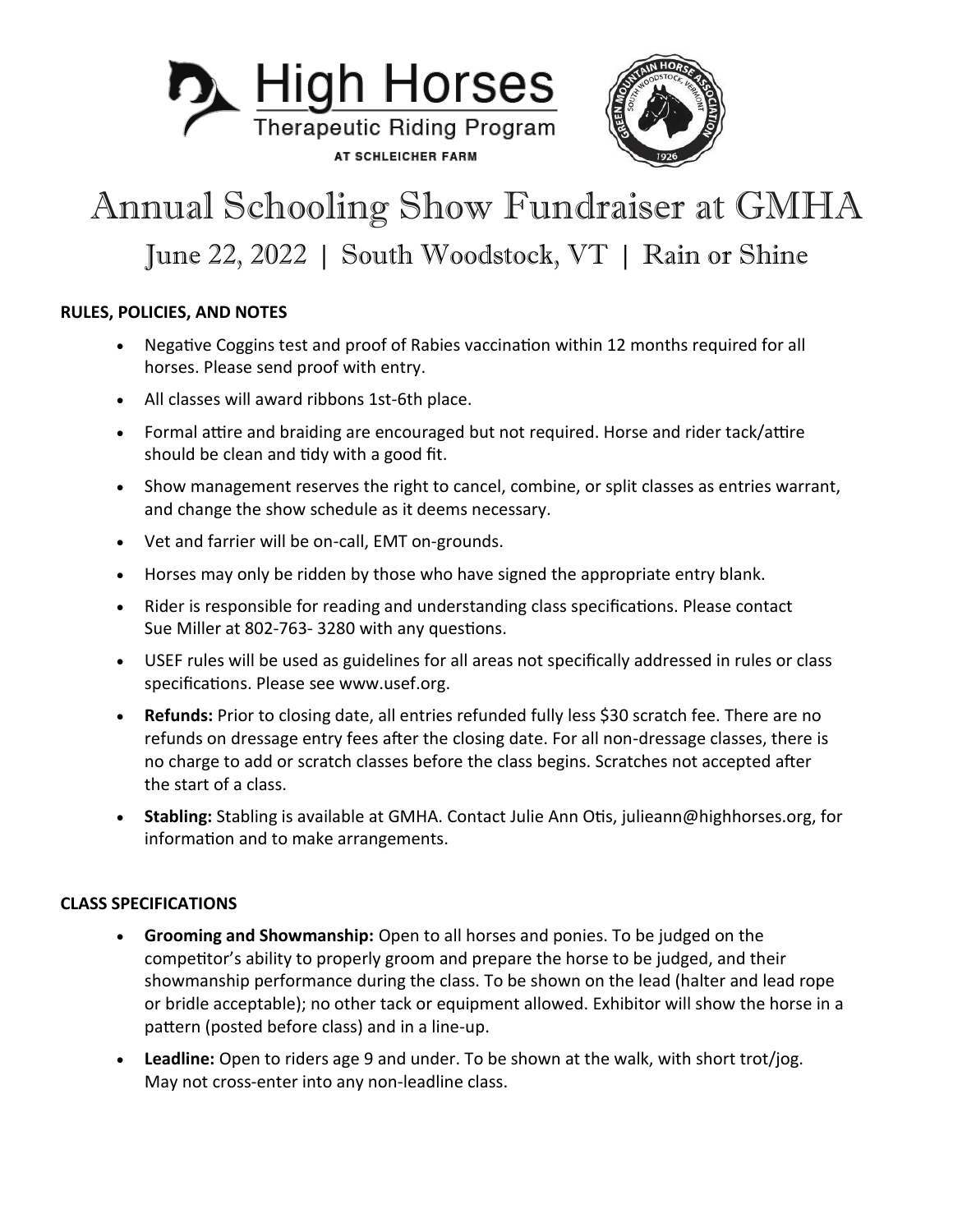



## Annual Schooling Show Fundraiser at GMHA June 22, 2022 | South Woodstock, VT | Rain or Shine

### **RULES, POLICIES, AND NOTES**

- Negative Coggins test and proof of Rabies vaccination within 12 months required for all horses. Please send proof with entry.
- All classes will award ribbons 1st-6th place.
- Formal attire and braiding are encouraged but not required. Horse and rider tack/attire should be clean and tidy with a good fit.
- Show management reserves the right to cancel, combine, or split classes as entries warrant, and change the show schedule as it deems necessary.
- Vet and farrier will be on-call, EMT on-grounds.
- Horses may only be ridden by those who have signed the appropriate entry blank.
- Rider is responsible for reading and understanding class specifications. Please contact Sue Miller at 802-763- 3280 with any questions.
- USEF rules will be used as guidelines for all areas not specifically addressed in rules or class specifications. Please see www.usef.org.
- **Refunds:** Prior to closing date, all entries refunded fully less \$30 scratch fee. There are no refunds on dressage entry fees after the closing date. For all non-dressage classes, there is no charge to add or scratch classes before the class begins. Scratches not accepted after the start of a class.
- **Stabling:** Stabling is available at GMHA. Contact Julie Ann Otis, julieann@highhorses.org, for information and to make arrangements.

#### **CLASS SPECIFICATIONS**

- **Grooming and Showmanship:** Open to all horses and ponies. To be judged on the competitor's ability to properly groom and prepare the horse to be judged, and their showmanship performance during the class. To be shown on the lead (halter and lead rope or bridle acceptable); no other tack or equipment allowed. Exhibitor will show the horse in a pattern (posted before class) and in a line-up.
- **Leadline:** Open to riders age 9 and under. To be shown at the walk, with short trot/jog. May not cross-enter into any non-leadline class.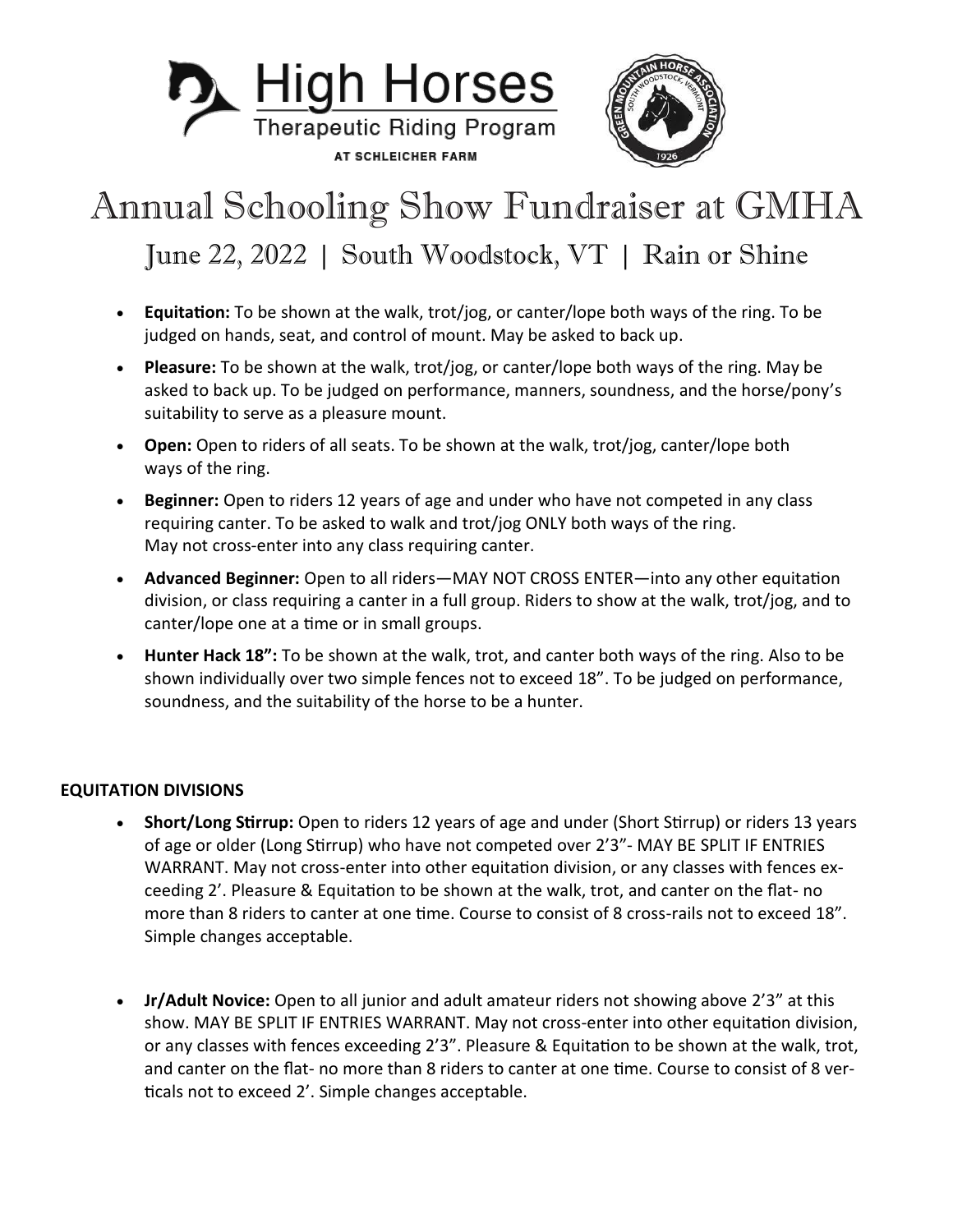

### Annual Schooling Show Fundraiser at GMHA June 22, 2022 | South Woodstock, VT | Rain or Shine

- **Equitation:** To be shown at the walk, trot/jog, or canter/lope both ways of the ring. To be judged on hands, seat, and control of mount. May be asked to back up.
- **Pleasure:** To be shown at the walk, trot/jog, or canter/lope both ways of the ring. May be asked to back up. To be judged on performance, manners, soundness, and the horse/pony's suitability to serve as a pleasure mount.
- **Open:** Open to riders of all seats. To be shown at the walk, trot/jog, canter/lope both ways of the ring.
- **Beginner:** Open to riders 12 years of age and under who have not competed in any class requiring canter. To be asked to walk and trot/jog ONLY both ways of the ring. May not cross-enter into any class requiring canter.
- **Advanced Beginner:** Open to all riders—MAY NOT CROSS ENTER—into any other equitation division, or class requiring a canter in a full group. Riders to show at the walk, trot/jog, and to canter/lope one at a time or in small groups.
- **Hunter Hack 18":** To be shown at the walk, trot, and canter both ways of the ring. Also to be shown individually over two simple fences not to exceed 18". To be judged on performance, soundness, and the suitability of the horse to be a hunter.

#### **EQUITATION DIVISIONS**

- **Short/Long Stirrup:** Open to riders 12 years of age and under (Short Stirrup) or riders 13 years of age or older (Long Stirrup) who have not competed over 2'3"- MAY BE SPLIT IF ENTRIES WARRANT. May not cross-enter into other equitation division, or any classes with fences exceeding 2'. Pleasure & Equitation to be shown at the walk, trot, and canter on the flat- no more than 8 riders to canter at one time. Course to consist of 8 cross-rails not to exceed 18". Simple changes acceptable.
- **Jr/Adult Novice:** Open to all junior and adult amateur riders not showing above 2'3" at this show. MAY BE SPLIT IF ENTRIES WARRANT. May not cross-enter into other equitation division, or any classes with fences exceeding 2'3". Pleasure & Equitation to be shown at the walk, trot, and canter on the flat- no more than 8 riders to canter at one time. Course to consist of 8 verticals not to exceed 2'. Simple changes acceptable.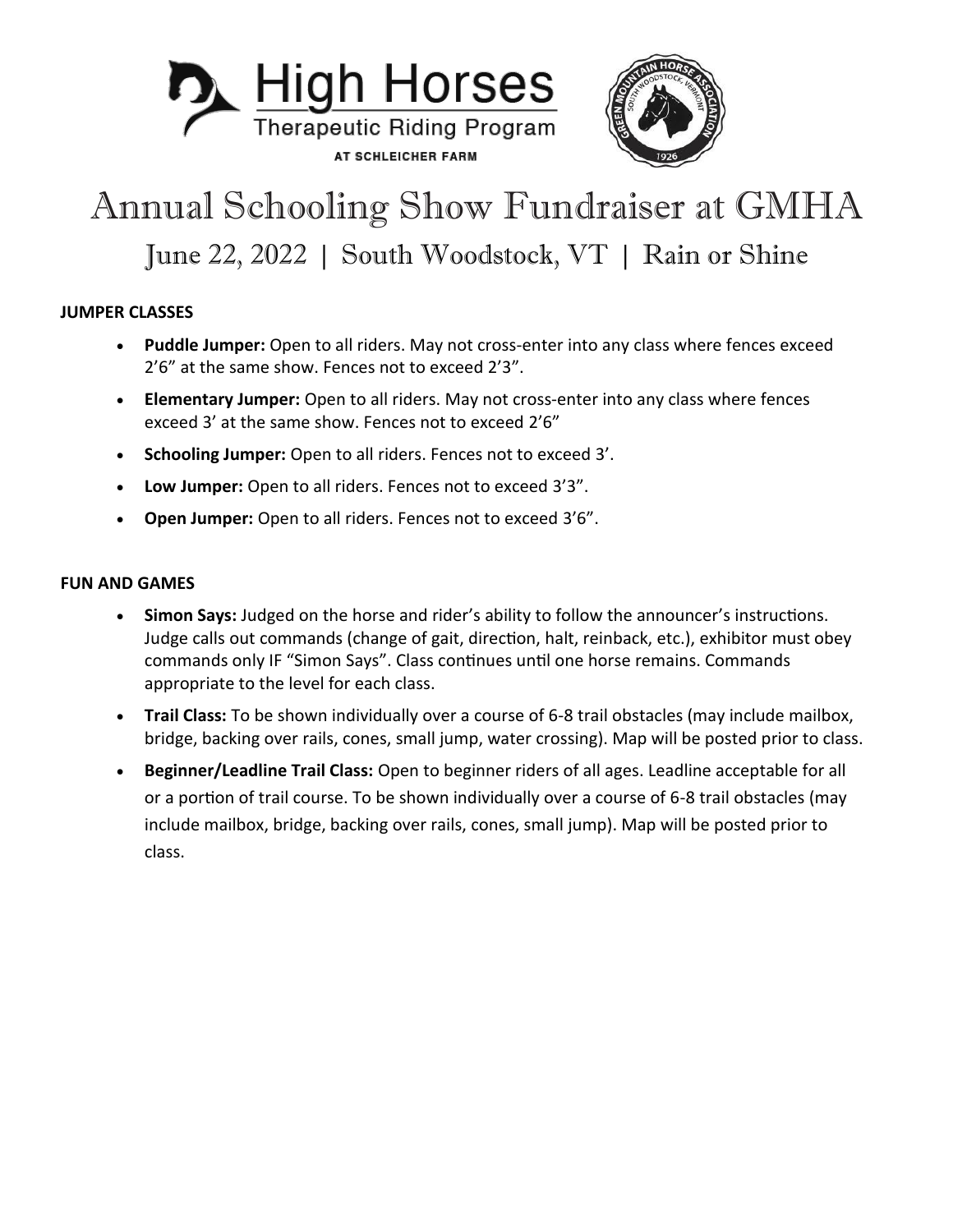



### Annual Schooling Show Fundraiser at GMHA June 22, 2022 | South Woodstock, VT | Rain or Shine

### **JUMPER CLASSES**

- **Puddle Jumper:** Open to all riders. May not cross-enter into any class where fences exceed 2'6" at the same show. Fences not to exceed 2'3".
- **Elementary Jumper:** Open to all riders. May not cross-enter into any class where fences exceed 3' at the same show. Fences not to exceed 2'6"
- **Schooling Jumper:** Open to all riders. Fences not to exceed 3'.
- **Low Jumper:** Open to all riders. Fences not to exceed 3'3".
- **Open Jumper:** Open to all riders. Fences not to exceed 3'6".

#### **FUN AND GAMES**

- **Simon Says:** Judged on the horse and rider's ability to follow the announcer's instructions. Judge calls out commands (change of gait, direction, halt, reinback, etc.), exhibitor must obey commands only IF "Simon Says". Class continues until one horse remains. Commands appropriate to the level for each class.
- **Trail Class:** To be shown individually over a course of 6-8 trail obstacles (may include mailbox, bridge, backing over rails, cones, small jump, water crossing). Map will be posted prior to class.
- **Beginner/Leadline Trail Class:** Open to beginner riders of all ages. Leadline acceptable for all or a portion of trail course. To be shown individually over a course of 6-8 trail obstacles (may include mailbox, bridge, backing over rails, cones, small jump). Map will be posted prior to class.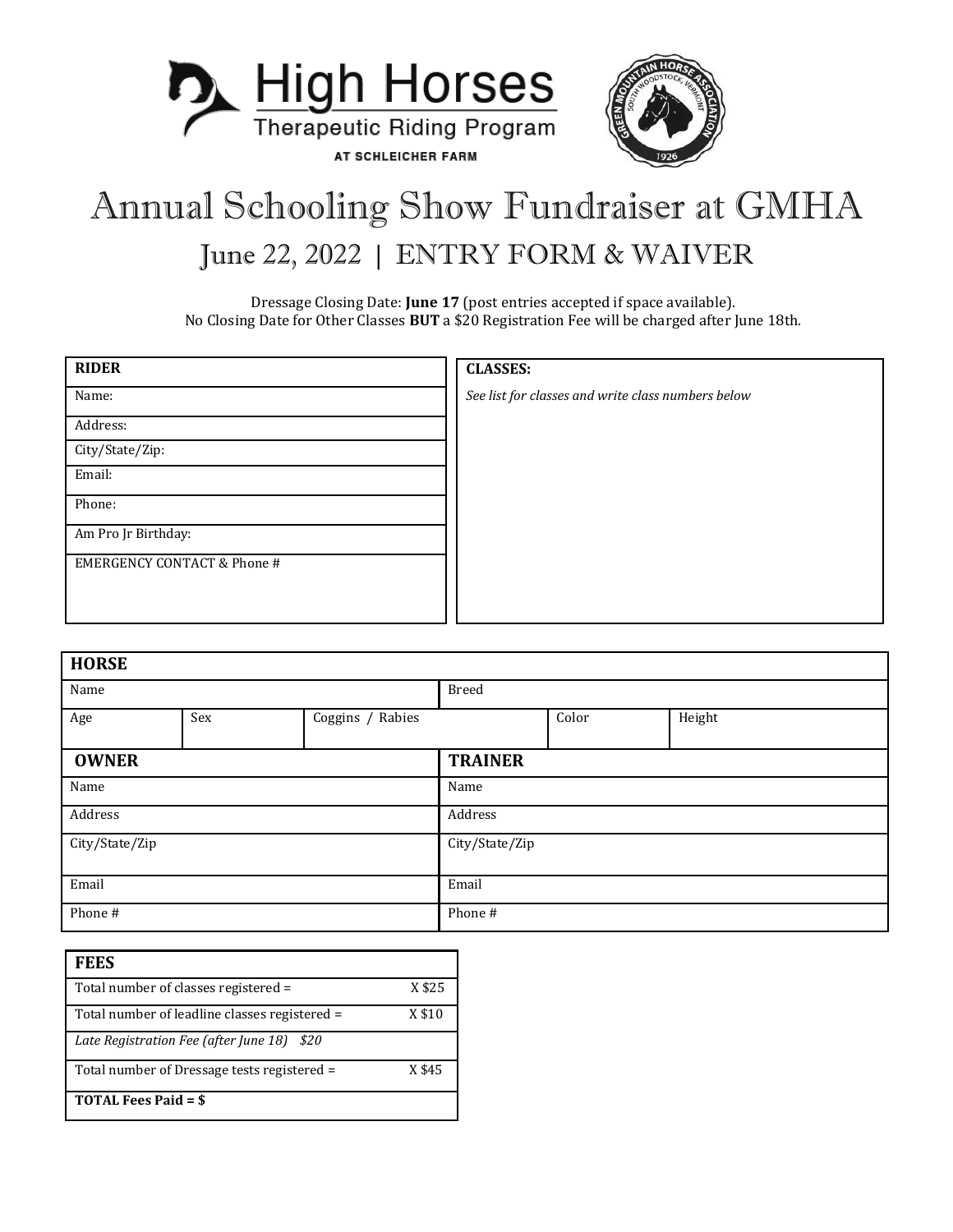

## Annual Schooling Show Fundraiser at GMHA June 22, 2022 | ENTRY FORM & WAIVER

Dressage Closing Date: **June 17** (post entries accepted if space available). No Closing Date for Other Classes **BUT** a \$20 Registration Fee will be charged after June 18th.

| <b>RIDER</b>                           | <b>CLASSES:</b>                                    |
|----------------------------------------|----------------------------------------------------|
| Name:                                  | See list for classes and write class numbers below |
| Address:                               |                                                    |
| City/State/Zip:                        |                                                    |
| Email:                                 |                                                    |
| Phone:                                 |                                                    |
| Am Pro Jr Birthday:                    |                                                    |
| <b>EMERGENCY CONTACT &amp; Phone #</b> |                                                    |
|                                        |                                                    |
|                                        |                                                    |

| <b>HORSE</b>   |     |                  |                |       |        |  |
|----------------|-----|------------------|----------------|-------|--------|--|
| Name           |     | <b>Breed</b>     |                |       |        |  |
| Age            | Sex | Coggins / Rabies |                | Color | Height |  |
| <b>OWNER</b>   |     |                  | <b>TRAINER</b> |       |        |  |
| Name           |     | Name             |                |       |        |  |
| Address        |     | Address          |                |       |        |  |
| City/State/Zip |     | City/State/Zip   |                |       |        |  |
| Email          |     | Email            |                |       |        |  |
| Phone #        |     | Phone #          |                |       |        |  |

| <b>FEES</b>                                   |        |
|-----------------------------------------------|--------|
| Total number of classes registered =          | X\$25  |
| Total number of leadline classes registered = | X \$10 |
| \$20<br>Late Registration Fee (after June 18) |        |
| Total number of Dressage tests registered =   | X \$45 |
| <b>TOTAL Fees Paid = \$</b>                   |        |